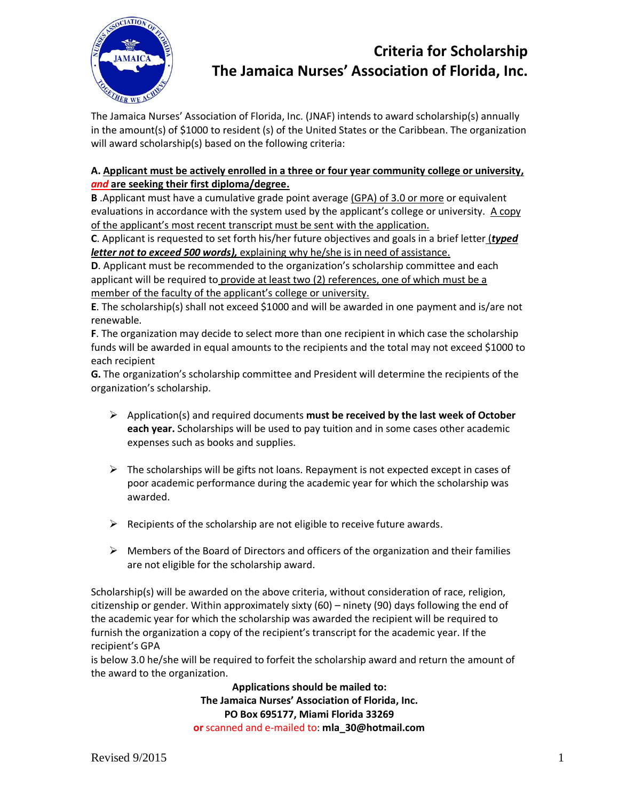

## **Criteria for Scholarship The Jamaica Nurses' Association of Florida, Inc.**

The Jamaica Nurses' Association of Florida, Inc. (JNAF) intends to award scholarship(s) annually in the amount(s) of \$1000 to resident (s) of the United States or the Caribbean. The organization will award scholarship(s) based on the following criteria:

## **A. Applicant must be actively enrolled in a three or four year community college or university,**  *and* **are seeking their first diploma/degree.**

**B** .Applicant must have a cumulative grade point average (GPA) of 3.0 or more or equivalent evaluations in accordance with the system used by the applicant's college or university. A copy of the applicant's most recent transcript must be sent with the application.

**C**. Applicant is requested to set forth his/her future objectives and goals in a brief letter (*typed letter not to exceed 500 words),* explaining why he/she is in need of assistance.

**D**. Applicant must be recommended to the organization's scholarship committee and each applicant will be required to provide at least two (2) references, one of which must be a member of the faculty of the applicant's college or university.

**E**. The scholarship(s) shall not exceed \$1000 and will be awarded in one payment and is/are not renewable.

**F**. The organization may decide to select more than one recipient in which case the scholarship funds will be awarded in equal amounts to the recipients and the total may not exceed \$1000 to each recipient

**G.** The organization's scholarship committee and President will determine the recipients of the organization's scholarship.

- Application(s) and required documents **must be received by the last week of October each year.** Scholarships will be used to pay tuition and in some cases other academic expenses such as books and supplies.
- $\triangleright$  The scholarships will be gifts not loans. Repayment is not expected except in cases of poor academic performance during the academic year for which the scholarship was awarded.
- $\triangleright$  Recipients of the scholarship are not eligible to receive future awards.
- $\triangleright$  Members of the Board of Directors and officers of the organization and their families are not eligible for the scholarship award.

Scholarship(s) will be awarded on the above criteria, without consideration of race, religion, citizenship or gender. Within approximately sixty (60) – ninety (90) days following the end of the academic year for which the scholarship was awarded the recipient will be required to furnish the organization a copy of the recipient's transcript for the academic year. If the recipient's GPA

is below 3.0 he/she will be required to forfeit the scholarship award and return the amount of the award to the organization.

> **Applications should be mailed to: The Jamaica Nurses' Association of Florida, Inc. PO Box 695177, Miami Florida 33269 or** scanned and e-mailed to: **mla\_30@hotmail.com**